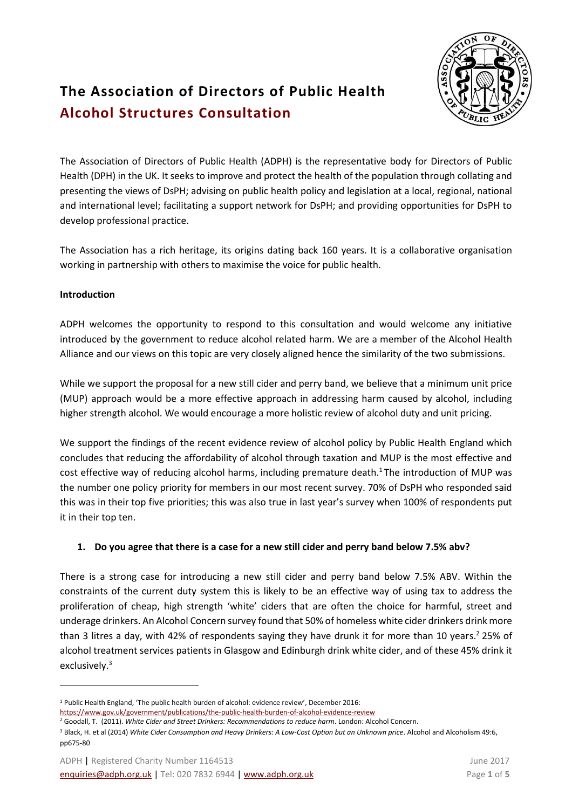## **The Association of Directors of Public Health Alcohol Structures Consultation**

The Association of Directors of Public Health (ADPH) is the representative body for Directors of Public Health (DPH) in the UK. It seeks to improve and protect the health of the population through collating and presenting the views of DsPH; advising on public health policy and legislation at a local, regional, national and international level; facilitating a support network for DsPH; and providing opportunities for DsPH to develop professional practice.

The Association has a rich heritage, its origins dating back 160 years. It is a collaborative organisation working in partnership with others to maximise the voice for public health. 

#### **Introduction**

 $\ddot{\phantom{a}}$ 

ADPH welcomes the opportunity to respond to this consultation and would welcome any initiative introduced by the government to reduce alcohol related harm. We are a member of the Alcohol Health Alliance and our views on this topic are very closely aligned hence the similarity of the two submissions.

While we support the proposal for a new still cider and perry band, we believe that a minimum unit price (MUP) approach would be a more effective approach in addressing harm caused by alcohol, including higher strength alcohol. We would encourage a more holistic review of alcohol duty and unit pricing.

We support the findings of the recent evidence review of alcohol policy by Public Health England which concludes that reducing the affordability of alcohol through taxation and MUP is the most effective and cost effective way of reducing alcohol harms, including premature death.<sup>1</sup> The introduction of MUP was the number one policy priority for members in our most recent survey. 70% of DsPH who responded said this was in their top five priorities; this was also true in last year's survey when 100% of respondents put it in their top ten.

#### **1. Do you agree that there is a case for a new still cider and perry band below 7.5% abv?**

There is a strong case for introducing a new still cider and perry band below 7.5% ABV. Within the constraints of the current duty system this is likely to be an effective way of using tax to address the proliferation of cheap, high strength 'white' ciders that are often the choice for harmful, street and underage drinkers. An Alcohol Concern survey found that 50% of homeless white cider drinkers drink more than 3 litres a day, with 42% of respondents saying they have drunk it for more than 10 years.<sup>2</sup> 25% of alcohol treatment services patients in Glasgow and Edinburgh drink white cider, and of these 45% drink it exclusively.<sup>3</sup>

<sup>1</sup> Public Health England, 'The public health burden of alcohol: evidence review', December 2016:

<https://www.gov.uk/government/publications/the-public-health-burden-of-alcohol-evidence-review>

<sup>2</sup> Goodall, T. (2011). *White Cider and Street Drinkers: Recommendations to reduce harm*. London: Alcohol Concern.

<sup>&</sup>lt;sup>3</sup> Black, H. et al (2014) White Cider Consumption and Heavy Drinkers: A Low-Cost Option but an Unknown price. Alcohol and Alcoholism 49:6, pp675-80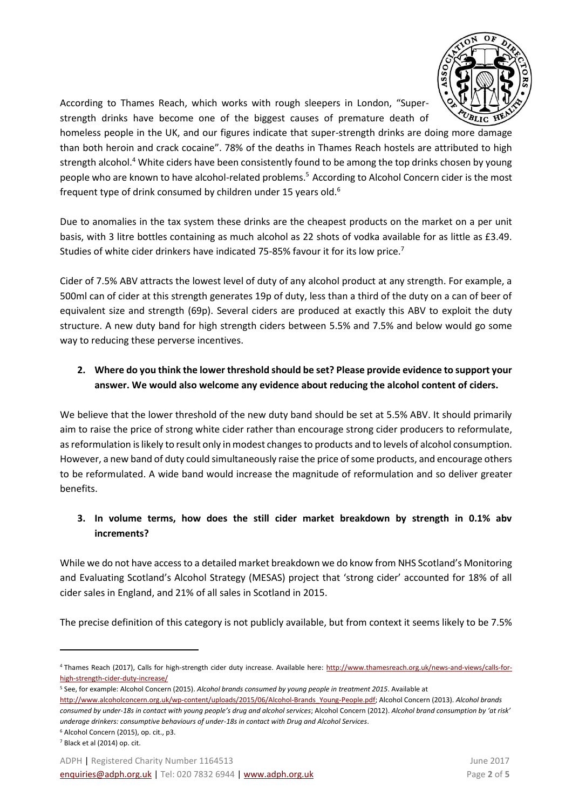

According to Thames Reach, which works with rough sleepers in London, "Superstrength drinks have become one of the biggest causes of premature death of

homeless people in the UK, and our figures indicate that super-strength drinks are doing more damage than both heroin and crack cocaine". 78% of the deaths in Thames Reach hostels are attributed to high strength alcohol.<sup>4</sup> White ciders have been consistently found to be among the top drinks chosen by young people who are known to have alcohol-related problems.<sup>5</sup> According to Alcohol Concern cider is the most frequent type of drink consumed by children under 15 years old.<sup>6</sup>

Due to anomalies in the tax system these drinks are the cheapest products on the market on a per unit basis, with 3 litre bottles containing as much alcohol as 22 shots of vodka available for as little as £3.49. Studies of white cider drinkers have indicated 75-85% favour it for its low price.<sup>7</sup>

Cider of 7.5% ABV attracts the lowest level of duty of any alcohol product at any strength. For example, a 500ml can of cider at this strength generates 19p of duty, less than a third of the duty on a can of beer of equivalent size and strength (69p). Several ciders are produced at exactly this ABV to exploit the duty structure. A new duty band for high strength ciders between 5.5% and 7.5% and below would go some way to reducing these perverse incentives.

#### **2. Where do you think the lower threshold should be set? Please provide evidence to support your answer. We would also welcome any evidence about reducing the alcohol content of ciders.**

We believe that the lower threshold of the new duty band should be set at 5.5% ABV. It should primarily aim to raise the price of strong white cider rather than encourage strong cider producers to reformulate, as reformulation is likely to result only in modest changes to products and to levels of alcohol consumption. However, a new band of duty could simultaneously raise the price of some products, and encourage others to be reformulated. A wide band would increase the magnitude of reformulation and so deliver greater benefits.

#### **3. In volume terms, how does the still cider market breakdown by strength in 0.1% abv increments?**

While we do not have access to a detailed market breakdown we do know from NHS Scotland's Monitoring and Evaluating Scotland's Alcohol Strategy (MESAS) project that 'strong cider' accounted for 18% of all cider sales in England, and 21% of all sales in Scotland in 2015.

The precise definition of this category is not publicly available, but from context it seems likely to be 7.5%

- <sup>5</sup> See, for example: Alcohol Concern (2015). *Alcohol brands consumed by young people in treatment 2015*. Available at
- [http://www.alcoholconcern.org.uk/wp-content/uploads/2015/06/Alcohol-Brands\\_Young-People.pdf;](http://www.alcoholconcern.org.uk/wp-content/uploads/2015/06/Alcohol-Brands_Young-People.pdf) Alcohol Concern (2013). *Alcohol brands consumed by under-18s in contact with young people's drug and alcohol services*; Alcohol Concern (2012). *Alcohol brand consumption by 'at risk' underage drinkers: consumptive behaviours of under-18s in contact with Drug and Alcohol Services*.

1

<sup>4</sup> Thames Reach (2017), Calls for high-strength cider duty increase. Available here: [http://www.thamesreach.org.uk/news-and-views/calls-for](http://www.thamesreach.org.uk/news-and-views/calls-for-high-strength-cider-duty-increase/)[high-strength-cider-duty-increase/](http://www.thamesreach.org.uk/news-and-views/calls-for-high-strength-cider-duty-increase/)

<sup>6</sup> Alcohol Concern (2015), op. cit., p3.

<sup>7</sup> Black et al (2014) op. cit.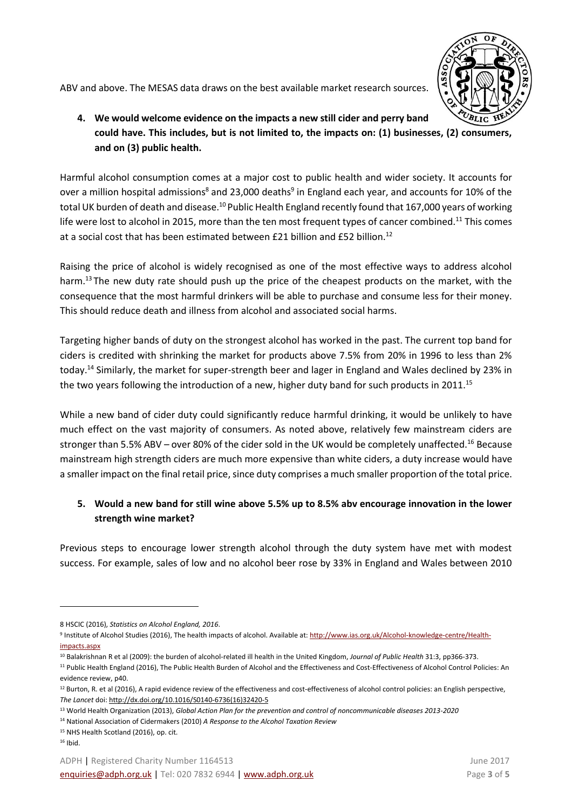

ABV and above. The MESAS data draws on the best available market research sources.

**4. We would welcome evidence on the impacts a new still cider and perry band could have. This includes, but is not limited to, the impacts on: (1) businesses, (2) consumers, and on (3) public health.**

Harmful alcohol consumption comes at a major cost to public health and wider society. It accounts for over a million hospital admissions $^8$  and 23,000 deaths $^9$  in England each year, and accounts for 10% of the total UK burden of death and disease.<sup>10</sup> Public Health England recently found that 167,000 years of working life were lost to alcohol in 2015, more than the ten most frequent types of cancer combined.<sup>11</sup> This comes at a social cost that has been estimated between £21 billion and £52 billion.<sup>12</sup>

Raising the price of alcohol is widely recognised as one of the most effective ways to address alcohol harm.<sup>13</sup> The new duty rate should push up the price of the cheapest products on the market, with the consequence that the most harmful drinkers will be able to purchase and consume less for their money. This should reduce death and illness from alcohol and associated social harms.

Targeting higher bands of duty on the strongest alcohol has worked in the past. The current top band for ciders is credited with shrinking the market for products above 7.5% from 20% in 1996 to less than 2% today.<sup>14</sup> Similarly, the market for super-strength beer and lager in England and Wales declined by 23% in the two years following the introduction of a new, higher duty band for such products in 2011.<sup>15</sup>

While a new band of cider duty could significantly reduce harmful drinking, it would be unlikely to have much effect on the vast majority of consumers. As noted above, relatively few mainstream ciders are stronger than 5.5% ABV – over 80% of the cider sold in the UK would be completely unaffected.<sup>16</sup> Because mainstream high strength ciders are much more expensive than white ciders, a duty increase would have a smaller impact on the final retail price, since duty comprises a much smaller proportion of the total price.

### **5. Would a new band for still wine above 5.5% up to 8.5% abv encourage innovation in the lower strength wine market?**

Previous steps to encourage lower strength alcohol through the duty system have met with modest success. For example, sales of low and no alcohol beer rose by 33% in England and Wales between 2010

<sup>10</sup> Balakrishnan R et al (2009): the burden of alcohol-related ill health in the United Kingdom, *Journal of Public Health* 31:3, pp366-373.

1

<sup>8</sup> HSCIC (2016), *Statistics on Alcohol England, 2016*.

<sup>&</sup>lt;sup>9</sup> Institute of Alcohol Studies (2016), The health impacts of alcohol. Available at: <u>http://www.ias.org.uk/Alcohol-knowledge-centre/Health-</u> [impacts.aspx](http://www.ias.org.uk/Alcohol-knowledge-centre/Health-impacts.aspx)

<sup>&</sup>lt;sup>11</sup> Public Health England (2016), The Public Health Burden of Alcohol and the Effectiveness and Cost-Effectiveness of Alcohol Control Policies: An evidence review, p40.

<sup>&</sup>lt;sup>12</sup> Burton, R. et al (2016), A rapid evidence review of the effectiveness and cost-effectiveness of alcohol control policies: an English perspective, *The Lancet* doi[: http://dx.doi.org/10.1016/S0140-6736\(16\)32420-5](http://dx.doi.org/10.1016/S0140-6736(16)32420-5)

<sup>13</sup> World Health Organization (2013), *Global Action Plan for the prevention and control of noncommunicable diseases 2013-2020*

<sup>14</sup> National Association of Cidermakers (2010) *A Response to the Alcohol Taxation Review* 

<sup>15</sup> NHS Health Scotland (2016), op. cit.

 $16$  Ibid.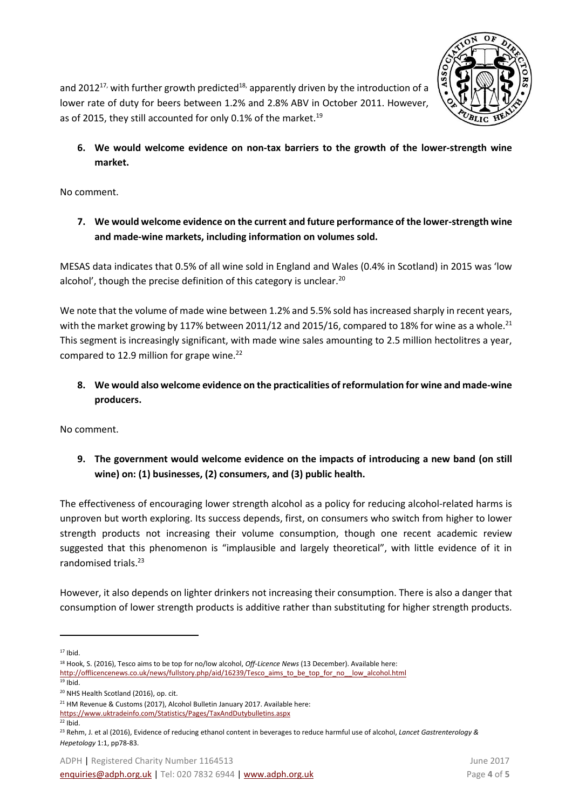

and 2012<sup>17,</sup> with further growth predicted<sup>18,</sup> apparently driven by the introduction of a lower rate of duty for beers between 1.2% and 2.8% ABV in October 2011. However, as of 2015, they still accounted for only 0.1% of the market.<sup>19</sup>

**6. We would welcome evidence on non-tax barriers to the growth of the lower-strength wine market.**

No comment.

**7. We would welcome evidence on the current and future performance of the lower-strength wine and made-wine markets, including information on volumes sold.**

MESAS data indicates that 0.5% of all wine sold in England and Wales (0.4% in Scotland) in 2015 was 'low alcohol', though the precise definition of this category is unclear.<sup>20</sup>

We note that the volume of made wine between 1.2% and 5.5% sold has increased sharply in recent years, with the market growing by 117% between 2011/12 and 2015/16, compared to 18% for wine as a whole.<sup>21</sup> This segment is increasingly significant, with made wine sales amounting to 2.5 million hectolitres a year, compared to 12.9 million for grape wine. $^{22}$ 

**8. We would also welcome evidence on the practicalities of reformulation for wine and made-wine producers.**

No comment.

**9. The government would welcome evidence on the impacts of introducing a new band (on still wine) on: (1) businesses, (2) consumers, and (3) public health.**

The effectiveness of encouraging lower strength alcohol as a policy for reducing alcohol-related harms is unproven but worth exploring. Its success depends, first, on consumers who switch from higher to lower strength products not increasing their volume consumption, though one recent academic review suggested that this phenomenon is "implausible and largely theoretical", with little evidence of it in randomised trials.<sup>23</sup>

However, it also depends on lighter drinkers not increasing their consumption. There is also a danger that consumption of lower strength products is additive rather than substituting for higher strength products.

 $17$  Ibid.

 $\ddot{\phantom{a}}$ 

<sup>18</sup> Hook, S. (2016), Tesco aims to be top for no/low alcohol, *Off-Licence News* (13 December). Available here:

[http://offlicencenews.co.uk/news/fullstory.php/aid/16239/Tesco\\_aims\\_to\\_be\\_top\\_for\\_no\\_\\_low\\_alcohol.html](http://offlicencenews.co.uk/news/fullstory.php/aid/16239/Tesco_aims_to_be_top_for_no__low_alcohol.html)

 $19$  Ibid.

<sup>20</sup> NHS Health Scotland (2016), op. cit.

<sup>&</sup>lt;sup>21</sup> HM Revenue & Customs (2017), Alcohol Bulletin January 2017. Available here:

<https://www.uktradeinfo.com/Statistics/Pages/TaxAndDutybulletins.aspx>

<sup>22</sup> Ibid.

<sup>23</sup> Rehm, J. et al (2016), Evidence of reducing ethanol content in beverages to reduce harmful use of alcohol, *Lancet Gastrenterology & Hepetology* 1:1, pp78-83.